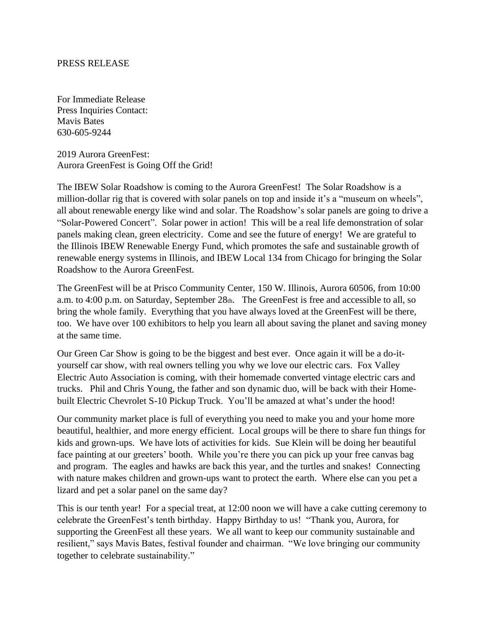## PRESS RELEASE

For Immediate Release Press Inquiries Contact: Mavis Bates 630-605-9244

2019 Aurora GreenFest: Aurora GreenFest is Going Off the Grid!

The IBEW Solar Roadshow is coming to the Aurora GreenFest! The Solar Roadshow is a million-dollar rig that is covered with solar panels on top and inside it's a "museum on wheels", all about renewable energy like wind and solar. The Roadshow's solar panels are going to drive a "Solar-Powered Concert". Solar power in action! This will be a real life demonstration of solar panels making clean, green electricity. Come and see the future of energy! We are grateful to the Illinois IBEW Renewable Energy Fund, which promotes the safe and sustainable growth of renewable energy systems in Illinois, and IBEW Local 134 from Chicago for bringing the Solar Roadshow to the Aurora GreenFest.

The GreenFest will be at Prisco Community Center, 150 W. Illinois, Aurora 60506, from 10:00 a.m. to 4:00 p.m. on Saturday, September 28th. The GreenFest is free and accessible to all, so bring the whole family. Everything that you have always loved at the GreenFest will be there, too. We have over 100 exhibitors to help you learn all about saving the planet and saving money at the same time.

Our Green Car Show is going to be the biggest and best ever. Once again it will be a do-ityourself car show, with real owners telling you why we love our electric cars. Fox Valley Electric Auto Association is coming, with their homemade converted vintage electric cars and trucks. Phil and Chris Young, the father and son dynamic duo, will be back with their Homebuilt Electric Chevrolet S-10 Pickup Truck. You'll be amazed at what's under the hood!

Our community market place is full of everything you need to make you and your home more beautiful, healthier, and more energy efficient. Local groups will be there to share fun things for kids and grown-ups. We have lots of activities for kids. Sue Klein will be doing her beautiful face painting at our greeters' booth. While you're there you can pick up your free canvas bag and program. The eagles and hawks are back this year, and the turtles and snakes! Connecting with nature makes children and grown-ups want to protect the earth. Where else can you pet a lizard and pet a solar panel on the same day?

This is our tenth year! For a special treat, at 12:00 noon we will have a cake cutting ceremony to celebrate the GreenFest's tenth birthday. Happy Birthday to us! "Thank you, Aurora, for supporting the GreenFest all these years. We all want to keep our community sustainable and resilient," says Mavis Bates, festival founder and chairman. "We love bringing our community together to celebrate sustainability."